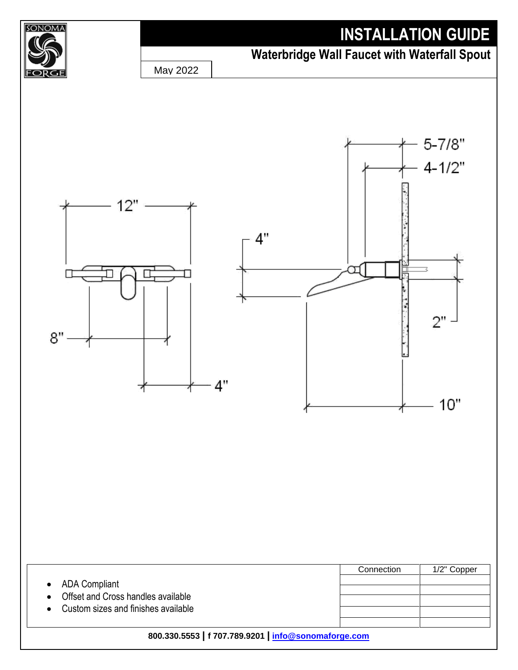